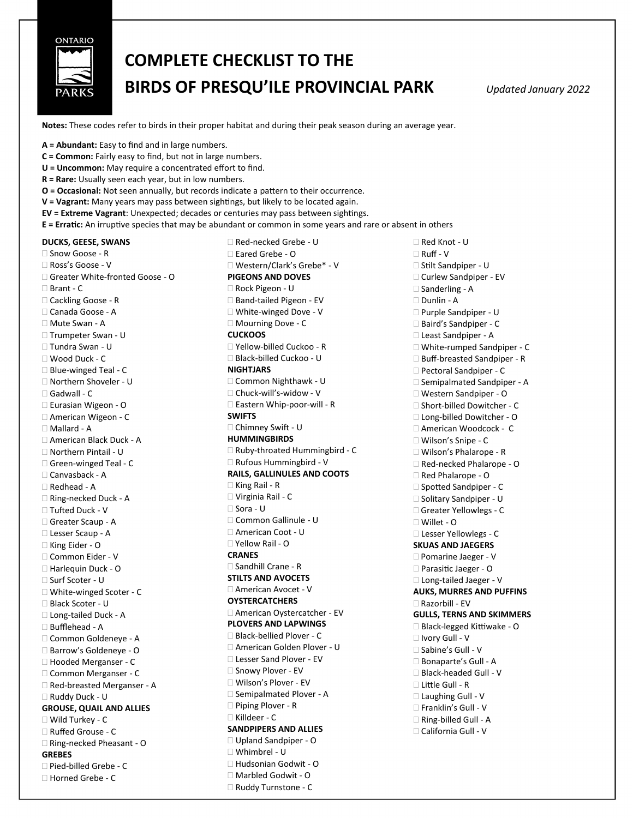

## **COMPLETE CHECKLIST TO THE BIRDS OF PRESQU'ILE PROVINCIAL PARK** *Updated January 2022*

**Notes:** These codes refer to birds in their proper habitat and during their peak season during an average year.

**A = Abundant:** Easy to find and in large numbers.

- **C = Common:** Fairly easy to find, but not in large numbers.
- **U = Uncommon:** May require a concentrated effort to find.
- **R = Rare:** Usually seen each year, but in low numbers.
- **O = Occasional:** Not seen annually, but records indicate a pattern to their occurrence.
- **V = Vagrant:** Many years may pass between sightings, but likely to be located again.
- **EV = Extreme Vagrant**: Unexpected; decades or centuries may pass between sightings.
- **E = Erratic:** An irruptive species that may be abundant or common in some years and rare or absent in others

**DUCKS, GEESE, SWANS**

 Snow Goose - R Ross's Goose - V Greater White-fronted Goose - O  $\Box$  Brant -  $\Box$ □ Cackling Goose - R Canada Goose - A Mute Swan - A Trumpeter Swan - U Tundra Swan - U Wood Duck - C □ Blue-winged Teal - C □ Northern Shoveler - U □ Gadwall - C Eurasian Wigeon - O American Wigeon - C Mallard - A American Black Duck - A Northern Pintail - U Green-winged Teal - C Canvasback - A Redhead - A Ring-necked Duck - A □ Tufted Duck - V □ Greater Scaup - A Lesser Scaup - A □ King Eider - O □ Common Eider - V □ Harlequin Duck - O □ Surf Scoter - U White-winged Scoter - C Black Scoter - U Long-tailed Duck - A Bufflehead - A Common Goldeneye - A Barrow's Goldeneye - O □ Hooded Merganser - C Common Merganser - C □ Red-breasted Merganser - A Ruddy Duck - U **GROUSE, QUAIL AND ALLIES** Wild Turkey - C Ruffed Grouse - C □ Ring-necked Pheasant - O **GREBES** □ Pied-billed Grebe - C Horned Grebe - C

 Red-necked Grebe - U Eared Grebe - O Western/Clark's Grebe\* - V **PIGEONS AND DOVES** Rock Pigeon - U □ Band-tailed Pigeon - EV White-winged Dove - V □ Mourning Dove - C **CUCKOOS** Yellow-billed Cuckoo - R Black-billed Cuckoo - U **NIGHTJARS** Common Nighthawk - U Chuck-will's-widow - V □ Eastern Whip-poor-will - R **SWIFTS** Chimney Swift - U **HUMMINGBIRDS** □ Ruby-throated Hummingbird - C □ Rufous Hummingbird - V **RAILS, GALLINULES AND COOTS**  $\Box$  King Rail - R Virginia Rail - C Sora - U Common Gallinule - U □ American Coot - U Yellow Rail - O **CRANES** Sandhill Crane - R **STILTS AND AVOCETS** American Avocet - V **OYSTERCATCHERS** American Oystercatcher - EV **PLOVERS AND LAPWINGS** □ Black-bellied Plover - C American Golden Plover - U □ Lesser Sand Plover - EV □ Snowy Plover - EV Wilson's Plover - EV □ Semipalmated Plover - A □ Piping Plover - R Killdeer - C **SANDPIPERS AND ALLIES** Upland Sandpiper - O Whimbrel - U □ Hudsonian Godwit - O Marbled Godwit - O □ Ruddy Turnstone - C

□ Red Knot - U Ruff - V □ Stilt Sandpiper - U Curlew Sandpiper - EV □ Sanderling - A Dunlin - A Purple Sandpiper - U □ Baird's Sandpiper - C Least Sandpiper - A □ White-rumped Sandpiper - C □ Buff-breasted Sandpiper - R □ Pectoral Sandpiper - C □ Semipalmated Sandpiper - A Western Sandpiper - O □ Short-billed Dowitcher - C Long-billed Dowitcher - O American Woodcock - C Wilson's Snipe - C Wilson's Phalarope - R □ Red-necked Phalarope - O □ Red Phalarope - O □ Spotted Sandpiper - C □ Solitary Sandpiper - U Greater Yellowlegs - C Willet - O Lesser Yellowlegs - C **SKUAS AND JAEGERS** □ Pomarine Jaeger - V Parasitic Jaeger - O □ Long-tailed Jaeger - V **AUKS, MURRES AND PUFFINS** Razorbill - EV **GULLS, TERNS AND SKIMMERS** □ Black-legged Kittiwake - O Ivory Gull - V □ Sabine's Gull - V □ Bonaparte's Gull - A □ Black-headed Gull - V Little Gull - R □ Laughing Gull - V □ Franklin's Gull - V  $\Box$  Ring-billed Gull - A California Gull - V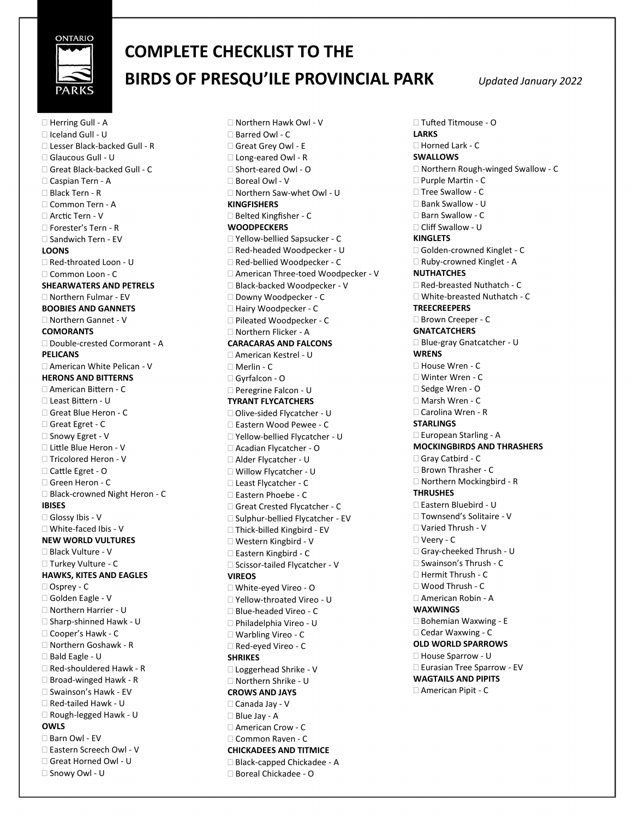

## **COMPLETE CHECKLIST TO THE BIRDS OF PRESQU'ILE PROVINCIAL PARK** *Updated January 2022*

□ Herring Gull - A Iceland Gull - U Lesser Black-backed Gull - R Glaucous Gull - U □ Great Black-backed Gull - C Caspian Tern - A Black Tern - R □ Common Tern - A Arctic Tern - V □ Forester's Tern - R □ Sandwich Tern - EV **LOONS** □ Red-throated Loon - U Common Loon - C **SHEARWATERS AND PETRELS** Northern Fulmar - EV **BOOBIES AND GANNETS** Northern Gannet - V **COMORANTS** □ Double-crested Cormorant - A **PELICANS** American White Pelican - V **HERONS AND BITTERNS** American Bittern - C Least Bittern - U □ Great Blue Heron - C □ Great Egret - C □ Snowy Egret - V Little Blue Heron - V □ Tricolored Heron - V Cattle Egret - O Green Heron - C □ Black-crowned Night Heron - C **IBISES** Glossy Ibis - V White-faced Ibis - V **NEW WORLD VULTURES** Black Vulture - V Turkey Vulture - C **HAWKS, KITES AND EAGLES** Osprey - C Golden Eagle - V □ Northern Harrier - U □ Sharp-shinned Hawk - U □ Cooper's Hawk - C □ Northern Goshawk - R Bald Eagle - U  $\Box$  Red-shouldered Hawk - R □ Broad-winged Hawk - R □ Swainson's Hawk - EV Red-tailed Hawk - U Rough-legged Hawk - U **OWLS** □ Barn Owl - EV □ Eastern Screech Owl - V Great Horned Owl - U □ Snowy Owl - U

 Northern Hawk Owl - V Barred Owl - C □ Great Grey Owl - E □ Long-eared Owl - R □ Short-eared Owl - O Boreal Owl - V □ Northern Saw-whet Owl - U **KINGFISHERS** □ Belted Kingfisher - C **WOODPECKERS** Yellow-bellied Sapsucker - C □ Red-headed Woodpecker - U □ Red-bellied Woodpecker - C □ American Three-toed Woodpecker - V □ Black-backed Woodpecker - V Downy Woodpecker - C □ Hairy Woodpecker - C □ Pileated Woodpecker - C □ Northern Flicker - A **CARACARAS AND FALCONS** American Kestrel - U Merlin - C Gyrfalcon - O □ Peregrine Falcon - U **TYRANT FLYCATCHERS** □ Olive-sided Flycatcher - U Eastern Wood Pewee - C □ Yellow-bellied Flycatcher - U Acadian Flycatcher - O Alder Flycatcher - U Willow Flycatcher - U Least Flycatcher - C □ Eastern Phoebe - C □ Great Crested Flycatcher - C □ Sulphur-bellied Flycatcher - EV □ Thick-billed Kingbird - EV Western Kingbird - V □ Eastern Kingbird - C □ Scissor-tailed Flycatcher - V **VIREOS** White-eyed Vireo - O Yellow-throated Vireo - U □ Blue-headed Vireo - C Philadelphia Vireo - U Warbling Vireo - C □ Red-eyed Vireo - C **SHRIKES** Loggerhead Shrike - V Northern Shrike - U **CROWS AND JAYS** Canada Jay - V Blue Jay - A □ American Crow - C □ Common Raven - C **CHICKADEES AND TITMICE** □ Black-capped Chickadee - A □ Boreal Chickadee - O

 Tufted Titmouse - O **LARKS** Horned Lark - C **SWALLOWS** □ Northern Rough-winged Swallow - C □ Purple Martin - C □ Tree Swallow - C □ Bank Swallow - U □ Barn Swallow - C □ Cliff Swallow - U **KINGLETS** □ Golden-crowned Kinglet - C □ Ruby-crowned Kinglet - A **NUTHATCHES** □ Red-breasted Nuthatch - C □ White-breasted Nuthatch - C **TREECREEPERS** □ Brown Creeper - C **GNATCATCHERS** Blue-gray Gnatcatcher - U **WRENS** □ House Wren - C Winter Wren - C □ Sedge Wren - O □ Marsh Wren - C □ Carolina Wren - R **STARLINGS** □ European Starling - A **MOCKINGBIRDS AND THRASHERS** Gray Catbird - C □ Brown Thrasher - C □ Northern Mockingbird - R **THRUSHES** Eastern Bluebird - U Townsend's Solitaire - V Varied Thrush - V Veery - C Gray-cheeked Thrush - U Swainson's Thrush - C  $\Box$  Hermit Thrush - C Wood Thrush - C American Robin - A **WAXWINGS** □ Bohemian Waxwing - E □ Cedar Waxwing - C **OLD WORLD SPARROWS** □ House Sparrow - U □ Eurasian Tree Sparrow - EV **WAGTAILS AND PIPITS** American Pipit - C